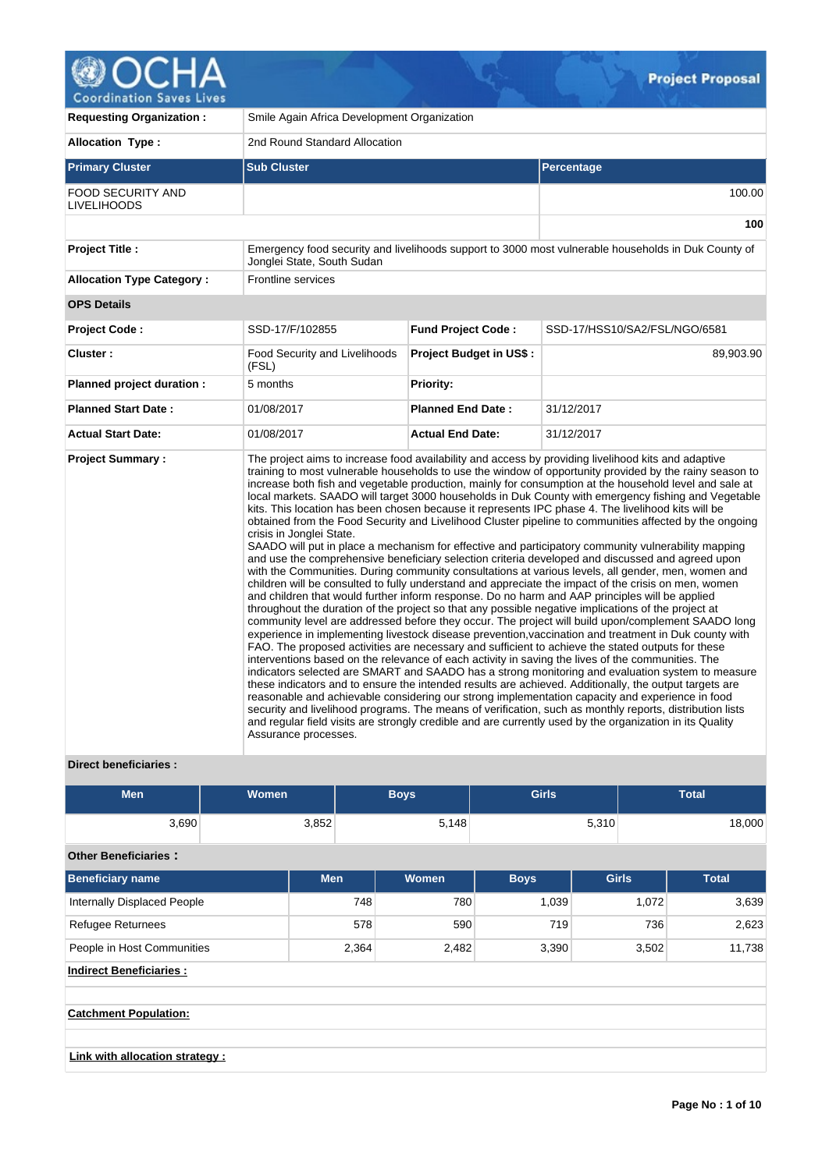

| <b>Requesting Organization:</b>         | Smile Again Africa Development Organization      |                                |                                                                                                                                                                                                                                                                                                                                                                                                                                                                                                                                                                                                                                                                                                                                                                                                                                                                                                                                                                                                                                                                                                                                                                                                                                                                                                                                                                                                                                                                                                                                                                                                                                                                                                                                                                                                                                                                                                                                                                                                                                                                                                                                                                                                                                                     |  |  |  |
|-----------------------------------------|--------------------------------------------------|--------------------------------|-----------------------------------------------------------------------------------------------------------------------------------------------------------------------------------------------------------------------------------------------------------------------------------------------------------------------------------------------------------------------------------------------------------------------------------------------------------------------------------------------------------------------------------------------------------------------------------------------------------------------------------------------------------------------------------------------------------------------------------------------------------------------------------------------------------------------------------------------------------------------------------------------------------------------------------------------------------------------------------------------------------------------------------------------------------------------------------------------------------------------------------------------------------------------------------------------------------------------------------------------------------------------------------------------------------------------------------------------------------------------------------------------------------------------------------------------------------------------------------------------------------------------------------------------------------------------------------------------------------------------------------------------------------------------------------------------------------------------------------------------------------------------------------------------------------------------------------------------------------------------------------------------------------------------------------------------------------------------------------------------------------------------------------------------------------------------------------------------------------------------------------------------------------------------------------------------------------------------------------------------------|--|--|--|
| <b>Allocation Type:</b>                 | 2nd Round Standard Allocation                    |                                |                                                                                                                                                                                                                                                                                                                                                                                                                                                                                                                                                                                                                                                                                                                                                                                                                                                                                                                                                                                                                                                                                                                                                                                                                                                                                                                                                                                                                                                                                                                                                                                                                                                                                                                                                                                                                                                                                                                                                                                                                                                                                                                                                                                                                                                     |  |  |  |
| <b>Primary Cluster</b>                  | <b>Sub Cluster</b>                               |                                | Percentage                                                                                                                                                                                                                                                                                                                                                                                                                                                                                                                                                                                                                                                                                                                                                                                                                                                                                                                                                                                                                                                                                                                                                                                                                                                                                                                                                                                                                                                                                                                                                                                                                                                                                                                                                                                                                                                                                                                                                                                                                                                                                                                                                                                                                                          |  |  |  |
| FOOD SECURITY AND<br><b>LIVELIHOODS</b> |                                                  |                                | 100.00                                                                                                                                                                                                                                                                                                                                                                                                                                                                                                                                                                                                                                                                                                                                                                                                                                                                                                                                                                                                                                                                                                                                                                                                                                                                                                                                                                                                                                                                                                                                                                                                                                                                                                                                                                                                                                                                                                                                                                                                                                                                                                                                                                                                                                              |  |  |  |
|                                         |                                                  |                                | 100                                                                                                                                                                                                                                                                                                                                                                                                                                                                                                                                                                                                                                                                                                                                                                                                                                                                                                                                                                                                                                                                                                                                                                                                                                                                                                                                                                                                                                                                                                                                                                                                                                                                                                                                                                                                                                                                                                                                                                                                                                                                                                                                                                                                                                                 |  |  |  |
| <b>Project Title:</b>                   | Jonglei State, South Sudan                       |                                | Emergency food security and livelihoods support to 3000 most vulnerable households in Duk County of                                                                                                                                                                                                                                                                                                                                                                                                                                                                                                                                                                                                                                                                                                                                                                                                                                                                                                                                                                                                                                                                                                                                                                                                                                                                                                                                                                                                                                                                                                                                                                                                                                                                                                                                                                                                                                                                                                                                                                                                                                                                                                                                                 |  |  |  |
| <b>Allocation Type Category:</b>        | <b>Frontline services</b>                        |                                |                                                                                                                                                                                                                                                                                                                                                                                                                                                                                                                                                                                                                                                                                                                                                                                                                                                                                                                                                                                                                                                                                                                                                                                                                                                                                                                                                                                                                                                                                                                                                                                                                                                                                                                                                                                                                                                                                                                                                                                                                                                                                                                                                                                                                                                     |  |  |  |
| <b>OPS Details</b>                      |                                                  |                                |                                                                                                                                                                                                                                                                                                                                                                                                                                                                                                                                                                                                                                                                                                                                                                                                                                                                                                                                                                                                                                                                                                                                                                                                                                                                                                                                                                                                                                                                                                                                                                                                                                                                                                                                                                                                                                                                                                                                                                                                                                                                                                                                                                                                                                                     |  |  |  |
| <b>Project Code:</b>                    | SSD-17/F/102855                                  | <b>Fund Project Code:</b>      | SSD-17/HSS10/SA2/FSL/NGO/6581                                                                                                                                                                                                                                                                                                                                                                                                                                                                                                                                                                                                                                                                                                                                                                                                                                                                                                                                                                                                                                                                                                                                                                                                                                                                                                                                                                                                                                                                                                                                                                                                                                                                                                                                                                                                                                                                                                                                                                                                                                                                                                                                                                                                                       |  |  |  |
| Cluster:                                | Food Security and Livelihoods<br>(FSL)           | <b>Project Budget in US\$:</b> | 89,903.90                                                                                                                                                                                                                                                                                                                                                                                                                                                                                                                                                                                                                                                                                                                                                                                                                                                                                                                                                                                                                                                                                                                                                                                                                                                                                                                                                                                                                                                                                                                                                                                                                                                                                                                                                                                                                                                                                                                                                                                                                                                                                                                                                                                                                                           |  |  |  |
| Planned project duration :              | 5 months                                         | <b>Priority:</b>               |                                                                                                                                                                                                                                                                                                                                                                                                                                                                                                                                                                                                                                                                                                                                                                                                                                                                                                                                                                                                                                                                                                                                                                                                                                                                                                                                                                                                                                                                                                                                                                                                                                                                                                                                                                                                                                                                                                                                                                                                                                                                                                                                                                                                                                                     |  |  |  |
| <b>Planned Start Date:</b>              | 01/08/2017                                       | <b>Planned End Date:</b>       | 31/12/2017                                                                                                                                                                                                                                                                                                                                                                                                                                                                                                                                                                                                                                                                                                                                                                                                                                                                                                                                                                                                                                                                                                                                                                                                                                                                                                                                                                                                                                                                                                                                                                                                                                                                                                                                                                                                                                                                                                                                                                                                                                                                                                                                                                                                                                          |  |  |  |
| <b>Actual Start Date:</b>               | 01/08/2017                                       | <b>Actual End Date:</b>        | 31/12/2017                                                                                                                                                                                                                                                                                                                                                                                                                                                                                                                                                                                                                                                                                                                                                                                                                                                                                                                                                                                                                                                                                                                                                                                                                                                                                                                                                                                                                                                                                                                                                                                                                                                                                                                                                                                                                                                                                                                                                                                                                                                                                                                                                                                                                                          |  |  |  |
| <b>Project Summary:</b>                 | crisis in Jonglei State.<br>Assurance processes. |                                | The project aims to increase food availability and access by providing livelihood kits and adaptive<br>training to most vulnerable households to use the window of opportunity provided by the rainy season to<br>increase both fish and vegetable production, mainly for consumption at the household level and sale at<br>local markets. SAADO will target 3000 households in Duk County with emergency fishing and Vegetable<br>kits. This location has been chosen because it represents IPC phase 4. The livelihood kits will be<br>obtained from the Food Security and Livelihood Cluster pipeline to communities affected by the ongoing<br>SAADO will put in place a mechanism for effective and participatory community vulnerability mapping<br>and use the comprehensive beneficiary selection criteria developed and discussed and agreed upon<br>with the Communities. During community consultations at various levels, all gender, men, women and<br>children will be consulted to fully understand and appreciate the impact of the crisis on men, women<br>and children that would further inform response. Do no harm and AAP principles will be applied<br>throughout the duration of the project so that any possible negative implications of the project at<br>community level are addressed before they occur. The project will build upon/complement SAADO long<br>experience in implementing livestock disease prevention, vaccination and treatment in Duk county with<br>FAO. The proposed activities are necessary and sufficient to achieve the stated outputs for these<br>interventions based on the relevance of each activity in saving the lives of the communities. The<br>indicators selected are SMART and SAADO has a strong monitoring and evaluation system to measure<br>these indicators and to ensure the intended results are achieved. Additionally, the output targets are<br>reasonable and achievable considering our strong implementation capacity and experience in food<br>security and livelihood programs. The means of verification, such as monthly reports, distribution lists<br>and regular field visits are strongly credible and are currently used by the organization in its Quality |  |  |  |

# **Direct beneficiaries :**

| <b>Men</b> | Women | <b>Boys</b> | <b>Girls</b> | <b>Total</b> |
|------------|-------|-------------|--------------|--------------|
| 3,690      | 3,852 | 5,148       | 5,310        | 18,000       |

# **Other Beneficiaries :**

| <b>Beneficiary name</b>     | <b>Men</b> | Women | <b>Boys</b> | <b>Girls</b> | <b>Total</b> |
|-----------------------------|------------|-------|-------------|--------------|--------------|
| Internally Displaced People | 748        | 780   | 1.039       | 1.072        | 3,639        |
| Refugee Returnees           | 578        | 590   | 719         | 736          | 2,623        |
| People in Host Communities  | 2,364      | 2,482 | 3.390       | 3.502        | 11.738       |

# **Indirect Beneficiaries :**

**Catchment Population:**

# **Link with allocation strategy :**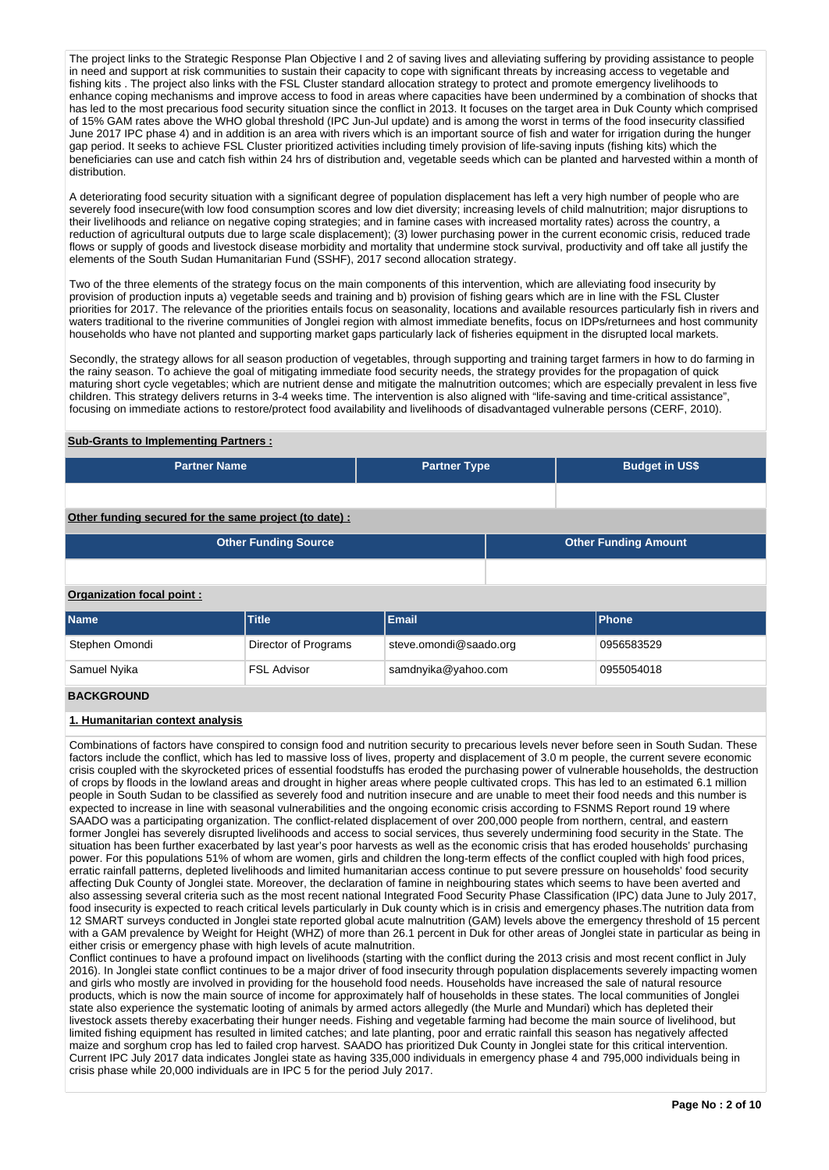The project links to the Strategic Response Plan Objective I and 2 of saving lives and alleviating suffering by providing assistance to people in need and support at risk communities to sustain their capacity to cope with significant threats by increasing access to vegetable and fishing kits . The project also links with the FSL Cluster standard allocation strategy to protect and promote emergency livelihoods to enhance coping mechanisms and improve access to food in areas where capacities have been undermined by a combination of shocks that has led to the most precarious food security situation since the conflict in 2013. It focuses on the target area in Duk County which comprised of 15% GAM rates above the WHO global threshold (IPC Jun-Jul update) and is among the worst in terms of the food insecurity classified June 2017 IPC phase 4) and in addition is an area with rivers which is an important source of fish and water for irrigation during the hunger gap period. It seeks to achieve FSL Cluster prioritized activities including timely provision of life-saving inputs (fishing kits) which the beneficiaries can use and catch fish within 24 hrs of distribution and, vegetable seeds which can be planted and harvested within a month of distribution.

A deteriorating food security situation with a significant degree of population displacement has left a very high number of people who are severely food insecure(with low food consumption scores and low diet diversity; increasing levels of child malnutrition; major disruptions to their livelihoods and reliance on negative coping strategies; and in famine cases with increased mortality rates) across the country, a reduction of agricultural outputs due to large scale displacement); (3) lower purchasing power in the current economic crisis, reduced trade flows or supply of goods and livestock disease morbidity and mortality that undermine stock survival, productivity and off take all justify the elements of the South Sudan Humanitarian Fund (SSHF), 2017 second allocation strategy.

Two of the three elements of the strategy focus on the main components of this intervention, which are alleviating food insecurity by provision of production inputs a) vegetable seeds and training and b) provision of fishing gears which are in line with the FSL Cluster priorities for 2017. The relevance of the priorities entails focus on seasonality, locations and available resources particularly fish in rivers and waters traditional to the riverine communities of Jonglei region with almost immediate benefits, focus on IDPs/returnees and host community households who have not planted and supporting market gaps particularly lack of fisheries equipment in the disrupted local markets.

Secondly, the strategy allows for all season production of vegetables, through supporting and training target farmers in how to do farming in the rainy season. To achieve the goal of mitigating immediate food security needs, the strategy provides for the propagation of quick maturing short cycle vegetables; which are nutrient dense and mitigate the malnutrition outcomes; which are especially prevalent in less five children. This strategy delivers returns in 3-4 weeks time. The intervention is also aligned with "life-saving and time-critical assistance", focusing on immediate actions to restore/protect food availability and livelihoods of disadvantaged vulnerable persons (CERF, 2010).

## **Sub-Grants to Implementing Partners :**

| <b>Partner Name</b> | <b>Partner Type</b> | <b>Budget in US\$</b> |
|---------------------|---------------------|-----------------------|
|                     |                     |                       |

# **Other funding secured for the same project (to date) :**

| <b>Other Funding Source</b> | <b>Other Funding Amount</b> |
|-----------------------------|-----------------------------|
|                             |                             |
| Organization focal point:   |                             |

| Name           | Title                | Email                    | <b>Phone</b> |
|----------------|----------------------|--------------------------|--------------|
| Stephen Omondi | Director of Programs | steve.omondi@saado.org § | 0956583529   |
| Samuel Nyika   | <b>FSL Advisor</b>   | samdnyika@yahoo.com      | 0955054018   |

# **BACKGROUND**

## **1. Humanitarian context analysis**

Combinations of factors have conspired to consign food and nutrition security to precarious levels never before seen in South Sudan. These factors include the conflict, which has led to massive loss of lives, property and displacement of 3.0 m people, the current severe economic crisis coupled with the skyrocketed prices of essential foodstuffs has eroded the purchasing power of vulnerable households, the destruction of crops by floods in the lowland areas and drought in higher areas where people cultivated crops. This has led to an estimated 6.1 million people in South Sudan to be classified as severely food and nutrition insecure and are unable to meet their food needs and this number is expected to increase in line with seasonal vulnerabilities and the ongoing economic crisis according to FSNMS Report round 19 where SAADO was a participating organization. The conflict-related displacement of over 200,000 people from northern, central, and eastern former Jonglei has severely disrupted livelihoods and access to social services, thus severely undermining food security in the State. The situation has been further exacerbated by last year's poor harvests as well as the economic crisis that has eroded households' purchasing power. For this populations 51% of whom are women, girls and children the long-term effects of the conflict coupled with high food prices, erratic rainfall patterns, depleted livelihoods and limited humanitarian access continue to put severe pressure on households' food security affecting Duk County of Jonglei state. Moreover, the declaration of famine in neighbouring states which seems to have been averted and also assessing several criteria such as the most recent national Integrated Food Security Phase Classification (IPC) data June to July 2017, food insecurity is expected to reach critical levels particularly in Duk county which is in crisis and emergency phases.The nutrition data from 12 SMART surveys conducted in Jonglei state reported global acute malnutrition (GAM) levels above the emergency threshold of 15 percent with a GAM prevalence by Weight for Height (WHZ) of more than 26.1 percent in Duk for other areas of Jonglei state in particular as being in either crisis or emergency phase with high levels of acute malnutrition.

Conflict continues to have a profound impact on livelihoods (starting with the conflict during the 2013 crisis and most recent conflict in July 2016). In Jonglei state conflict continues to be a major driver of food insecurity through population displacements severely impacting women and girls who mostly are involved in providing for the household food needs. Households have increased the sale of natural resource products, which is now the main source of income for approximately half of households in these states. The local communities of Jonglei state also experience the systematic looting of animals by armed actors allegedly (the Murle and Mundari) which has depleted their livestock assets thereby exacerbating their hunger needs. Fishing and vegetable farming had become the main source of livelihood, but limited fishing equipment has resulted in limited catches; and late planting, poor and erratic rainfall this season has negatively affected maize and sorghum crop has led to failed crop harvest. SAADO has prioritized Duk County in Jonglei state for this critical intervention. Current IPC July 2017 data indicates Jonglei state as having 335,000 individuals in emergency phase 4 and 795,000 individuals being in crisis phase while 20,000 individuals are in IPC 5 for the period July 2017.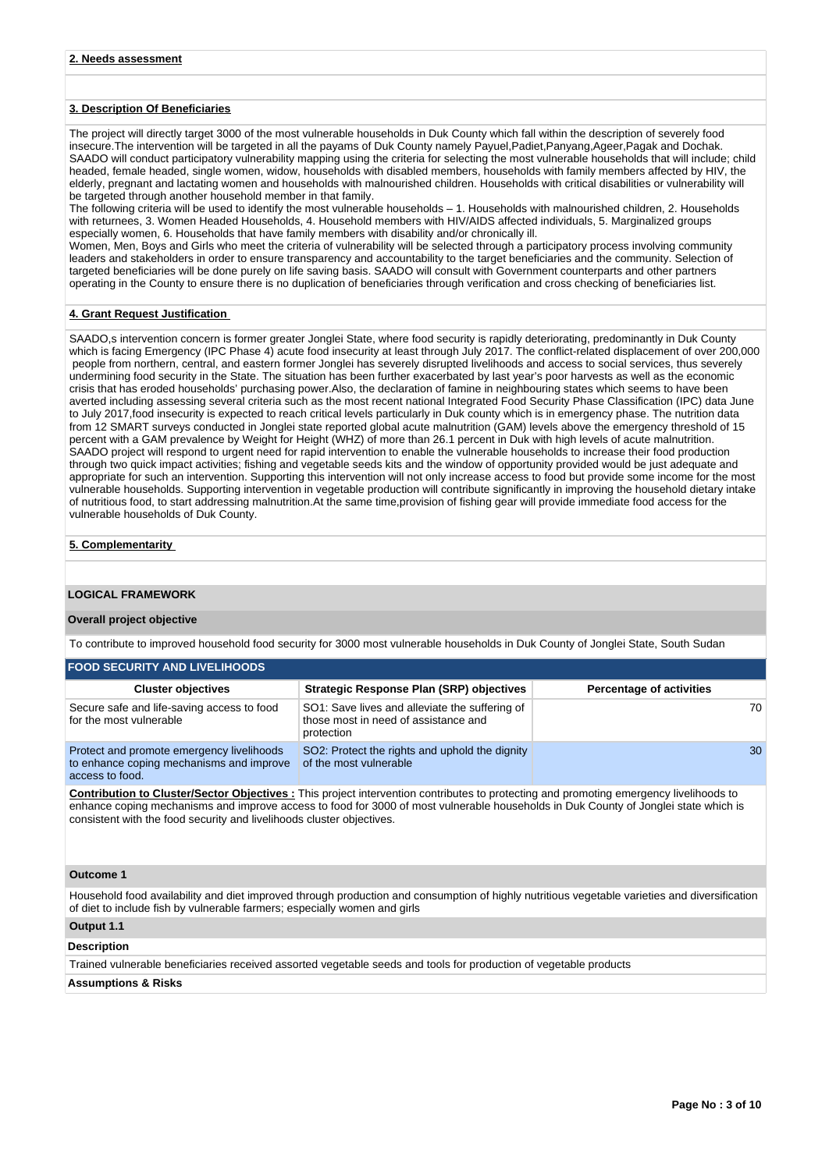# **3. Description Of Beneficiaries**

The project will directly target 3000 of the most vulnerable households in Duk County which fall within the description of severely food insecure.The intervention will be targeted in all the payams of Duk County namely Payuel,Padiet,Panyang,Ageer,Pagak and Dochak. SAADO will conduct participatory vulnerability mapping using the criteria for selecting the most vulnerable households that will include; child headed, female headed, single women, widow, households with disabled members, households with family members affected by HIV, the elderly, pregnant and lactating women and households with malnourished children. Households with critical disabilities or vulnerability will be targeted through another household member in that family.

The following criteria will be used to identify the most vulnerable households – 1. Households with malnourished children, 2. Households with returnees, 3. Women Headed Households, 4. Household members with HIV/AIDS affected individuals, 5. Marginalized groups especially women, 6. Households that have family members with disability and/or chronically ill.

Women, Men, Boys and Girls who meet the criteria of vulnerability will be selected through a participatory process involving community leaders and stakeholders in order to ensure transparency and accountability to the target beneficiaries and the community. Selection of targeted beneficiaries will be done purely on life saving basis. SAADO will consult with Government counterparts and other partners operating in the County to ensure there is no duplication of beneficiaries through verification and cross checking of beneficiaries list.

## **4. Grant Request Justification**

SAADO,s intervention concern is former greater Jonglei State, where food security is rapidly deteriorating, predominantly in Duk County which is facing Emergency (IPC Phase 4) acute food insecurity at least through July 2017. The conflict-related displacement of over 200,000 people from northern, central, and eastern former Jonglei has severely disrupted livelihoods and access to social services, thus severely undermining food security in the State. The situation has been further exacerbated by last year's poor harvests as well as the economic crisis that has eroded households' purchasing power.Also, the declaration of famine in neighbouring states which seems to have been averted including assessing several criteria such as the most recent national Integrated Food Security Phase Classification (IPC) data June to July 2017,food insecurity is expected to reach critical levels particularly in Duk county which is in emergency phase. The nutrition data from 12 SMART surveys conducted in Jonglei state reported global acute malnutrition (GAM) levels above the emergency threshold of 15 percent with a GAM prevalence by Weight for Height (WHZ) of more than 26.1 percent in Duk with high levels of acute malnutrition. SAADO project will respond to urgent need for rapid intervention to enable the vulnerable households to increase their food production through two quick impact activities; fishing and vegetable seeds kits and the window of opportunity provided would be just adequate and appropriate for such an intervention. Supporting this intervention will not only increase access to food but provide some income for the most vulnerable households. Supporting intervention in vegetable production will contribute significantly in improving the household dietary intake of nutritious food, to start addressing malnutrition.At the same time,provision of fishing gear will provide immediate food access for the vulnerable households of Duk County.

#### **5. Complementarity**

#### **LOGICAL FRAMEWORK**

#### **Overall project objective**

To contribute to improved household food security for 3000 most vulnerable households in Duk County of Jonglei State, South Sudan

| <b>FOOD SECURITY AND LIVELIHOODS</b>                                                                     |                                                                                                      |                                 |  |  |  |  |  |  |
|----------------------------------------------------------------------------------------------------------|------------------------------------------------------------------------------------------------------|---------------------------------|--|--|--|--|--|--|
| <b>Cluster objectives</b>                                                                                | <b>Strategic Response Plan (SRP) objectives</b>                                                      | <b>Percentage of activities</b> |  |  |  |  |  |  |
| Secure safe and life-saving access to food<br>for the most vulnerable                                    | SO1: Save lives and alleviate the suffering of<br>those most in need of assistance and<br>protection | 70                              |  |  |  |  |  |  |
| Protect and promote emergency livelihoods<br>to enhance coping mechanisms and improve<br>access to food. | SO2: Protect the rights and uphold the dignity<br>of the most vulnerable                             | 30                              |  |  |  |  |  |  |

**Contribution to Cluster/Sector Objectives :** This project intervention contributes to protecting and promoting emergency livelihoods to enhance coping mechanisms and improve access to food for 3000 of most vulnerable households in Duk County of Jonglei state which is consistent with the food security and livelihoods cluster objectives.

## **Outcome 1**

Household food availability and diet improved through production and consumption of highly nutritious vegetable varieties and diversification of diet to include fish by vulnerable farmers; especially women and girls

# **Output 1.1**

#### **Description**

Trained vulnerable beneficiaries received assorted vegetable seeds and tools for production of vegetable products

#### **Assumptions & Risks**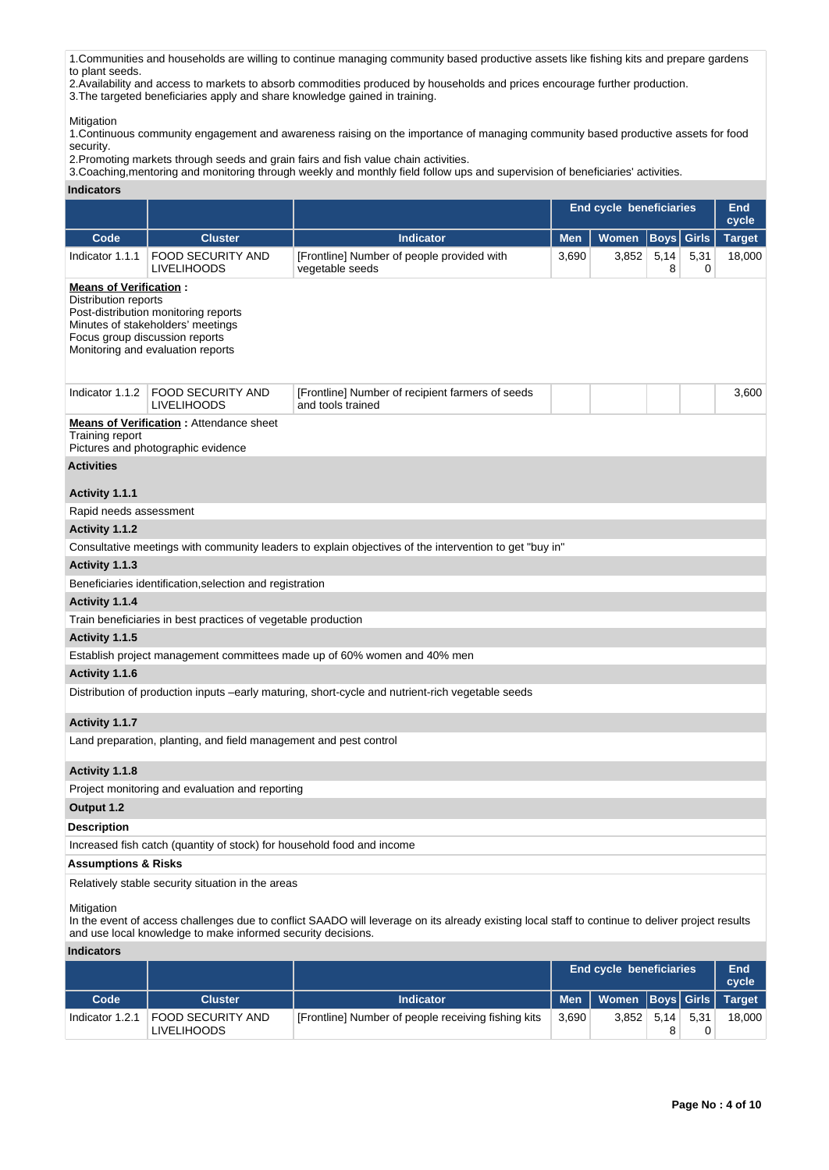1.Communities and households are willing to continue managing community based productive assets like fishing kits and prepare gardens to plant seeds.

2.Availability and access to markets to absorb commodities produced by households and prices encourage further production.

3.The targeted beneficiaries apply and share knowledge gained in training.

## **Mitigation**

Indicator 1.2.1 FOOD SECURITY AND LIVELIHOODS

1.Continuous community engagement and awareness raising on the importance of managing community based productive assets for food security.

2.Promoting markets through seeds and grain fairs and fish value chain activities.

3.Coaching,mentoring and monitoring through weekly and monthly field follow ups and supervision of beneficiaries' activities.

| <b>Indicators</b>                                                                       |                                                                                                                |                                                                                                                                                  |            |                                |                   |           |                     |  |  |  |
|-----------------------------------------------------------------------------------------|----------------------------------------------------------------------------------------------------------------|--------------------------------------------------------------------------------------------------------------------------------------------------|------------|--------------------------------|-------------------|-----------|---------------------|--|--|--|
|                                                                                         |                                                                                                                |                                                                                                                                                  |            | <b>End cycle beneficiaries</b> |                   |           | <b>End</b><br>cycle |  |  |  |
| Code                                                                                    | <b>Cluster</b>                                                                                                 | <b>Indicator</b>                                                                                                                                 | <b>Men</b> | <b>Women</b>                   | <b>Boys Girls</b> |           | <b>Target</b>       |  |  |  |
| Indicator 1.1.1                                                                         | <b>FOOD SECURITY AND</b><br>LIVELIHOODS                                                                        | [Frontline] Number of people provided with<br>vegetable seeds                                                                                    | 3,690      | 3,852                          | 5,14<br>8         | 5,31<br>0 | 18,000              |  |  |  |
| <b>Means of Verification:</b><br>Distribution reports<br>Focus group discussion reports | Post-distribution monitoring reports<br>Minutes of stakeholders' meetings<br>Monitoring and evaluation reports |                                                                                                                                                  |            |                                |                   |           |                     |  |  |  |
| Indicator 1.1.2                                                                         | <b>FOOD SECURITY AND</b><br>LIVELIHOODS                                                                        | [Frontline] Number of recipient farmers of seeds<br>and tools trained                                                                            |            |                                |                   |           | 3,600               |  |  |  |
| Training report<br><b>Activities</b>                                                    | <b>Means of Verification:</b> Attendance sheet<br>Pictures and photographic evidence                           |                                                                                                                                                  |            |                                |                   |           |                     |  |  |  |
| Activity 1.1.1                                                                          |                                                                                                                |                                                                                                                                                  |            |                                |                   |           |                     |  |  |  |
| Rapid needs assessment                                                                  |                                                                                                                |                                                                                                                                                  |            |                                |                   |           |                     |  |  |  |
| Activity 1.1.2                                                                          |                                                                                                                |                                                                                                                                                  |            |                                |                   |           |                     |  |  |  |
|                                                                                         |                                                                                                                | Consultative meetings with community leaders to explain objectives of the intervention to get "buy in"                                           |            |                                |                   |           |                     |  |  |  |
| Activity 1.1.3                                                                          |                                                                                                                |                                                                                                                                                  |            |                                |                   |           |                     |  |  |  |
|                                                                                         | Beneficiaries identification, selection and registration                                                       |                                                                                                                                                  |            |                                |                   |           |                     |  |  |  |
| Activity 1.1.4                                                                          |                                                                                                                |                                                                                                                                                  |            |                                |                   |           |                     |  |  |  |
|                                                                                         | Train beneficiaries in best practices of vegetable production                                                  |                                                                                                                                                  |            |                                |                   |           |                     |  |  |  |
| Activity 1.1.5                                                                          |                                                                                                                |                                                                                                                                                  |            |                                |                   |           |                     |  |  |  |
|                                                                                         |                                                                                                                | Establish project management committees made up of 60% women and 40% men                                                                         |            |                                |                   |           |                     |  |  |  |
| Activity 1.1.6                                                                          |                                                                                                                |                                                                                                                                                  |            |                                |                   |           |                     |  |  |  |
|                                                                                         |                                                                                                                | Distribution of production inputs -early maturing, short-cycle and nutrient-rich vegetable seeds                                                 |            |                                |                   |           |                     |  |  |  |
| Activity 1.1.7                                                                          |                                                                                                                |                                                                                                                                                  |            |                                |                   |           |                     |  |  |  |
|                                                                                         | Land preparation, planting, and field management and pest control                                              |                                                                                                                                                  |            |                                |                   |           |                     |  |  |  |
| Activity 1.1.8                                                                          |                                                                                                                |                                                                                                                                                  |            |                                |                   |           |                     |  |  |  |
|                                                                                         | Project monitoring and evaluation and reporting                                                                |                                                                                                                                                  |            |                                |                   |           |                     |  |  |  |
| Output 1.2                                                                              |                                                                                                                |                                                                                                                                                  |            |                                |                   |           |                     |  |  |  |
| <b>Description</b>                                                                      |                                                                                                                |                                                                                                                                                  |            |                                |                   |           |                     |  |  |  |
|                                                                                         | Increased fish catch (quantity of stock) for household food and income                                         |                                                                                                                                                  |            |                                |                   |           |                     |  |  |  |
| <b>Assumptions &amp; Risks</b>                                                          |                                                                                                                |                                                                                                                                                  |            |                                |                   |           |                     |  |  |  |
|                                                                                         | Relatively stable security situation in the areas                                                              |                                                                                                                                                  |            |                                |                   |           |                     |  |  |  |
| Mitigation                                                                              | and use local knowledge to make informed security decisions.                                                   | In the event of access challenges due to conflict SAADO will leverage on its already existing local staff to continue to deliver project results |            |                                |                   |           |                     |  |  |  |
| <b>Indicators</b>                                                                       |                                                                                                                |                                                                                                                                                  |            |                                |                   |           |                     |  |  |  |
|                                                                                         |                                                                                                                |                                                                                                                                                  |            | <b>End cycle beneficiaries</b> |                   |           | <b>End</b><br>cycle |  |  |  |
| Code                                                                                    | <b>Cluster</b>                                                                                                 | <b>Indicator</b>                                                                                                                                 | Men        | Women   Boys   Girls           |                   |           | <b>Target</b>       |  |  |  |

[Frontline] Number of people receiving fishing kits | 3,690 3,852 5,14

8

5,31  $\overline{0}$  18,000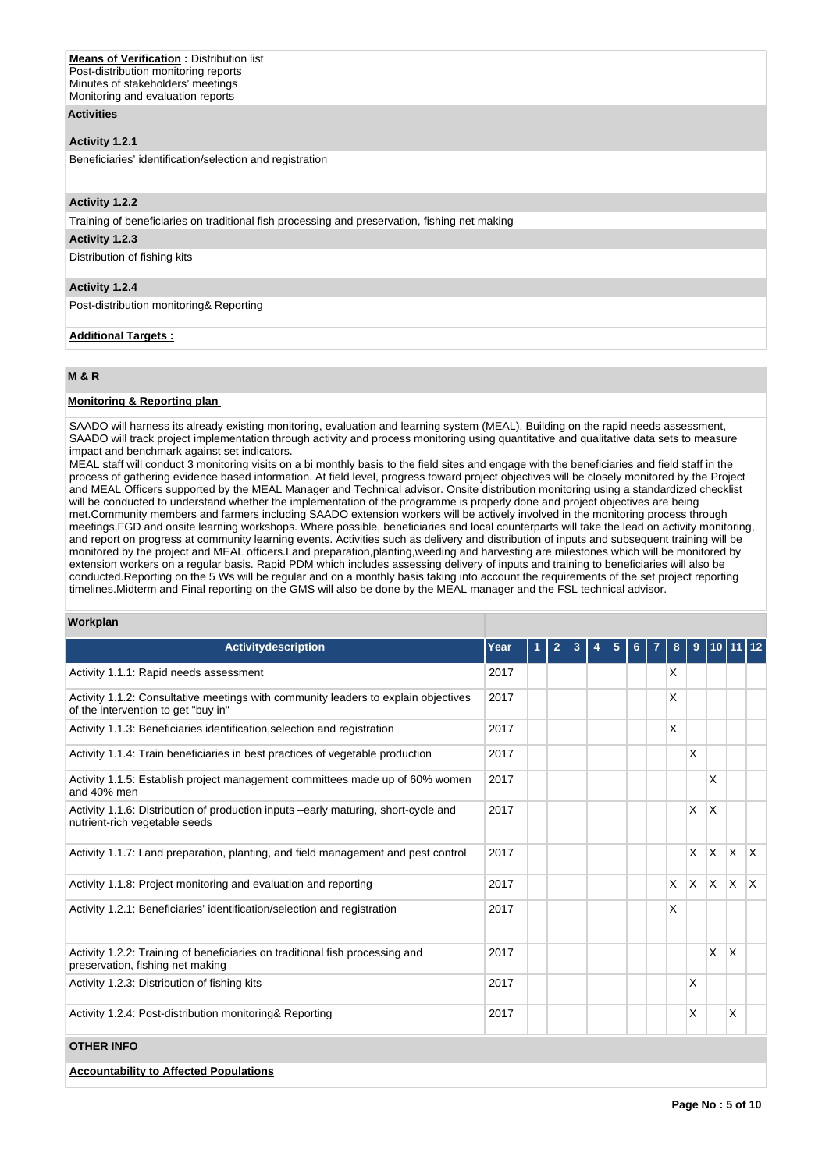# **Activities**

#### **Activity 1.2.1**

Beneficiaries' identification/selection and registration

#### **Activity 1.2.2**

Training of beneficiaries on traditional fish processing and preservation, fishing net making

**Activity 1.2.3**  Distribution of fishing kits

## **Activity 1.2.4**

Post-distribution monitoring& Reporting

# **Additional Targets :**

# **M & R**

# **Monitoring & Reporting plan**

SAADO will harness its already existing monitoring, evaluation and learning system (MEAL). Building on the rapid needs assessment, SAADO will track project implementation through activity and process monitoring using quantitative and qualitative data sets to measure impact and benchmark against set indicators.

MEAL staff will conduct 3 monitoring visits on a bi monthly basis to the field sites and engage with the beneficiaries and field staff in the process of gathering evidence based information. At field level, progress toward project objectives will be closely monitored by the Project and MEAL Officers supported by the MEAL Manager and Technical advisor. Onsite distribution monitoring using a standardized checklist will be conducted to understand whether the implementation of the programme is properly done and project objectives are being met.Community members and farmers including SAADO extension workers will be actively involved in the monitoring process through meetings,FGD and onsite learning workshops. Where possible, beneficiaries and local counterparts will take the lead on activity monitoring, and report on progress at community learning events. Activities such as delivery and distribution of inputs and subsequent training will be monitored by the project and MEAL officers.Land preparation,planting,weeding and harvesting are milestones which will be monitored by extension workers on a regular basis. Rapid PDM which includes assessing delivery of inputs and training to beneficiaries will also be conducted.Reporting on the 5 Ws will be regular and on a monthly basis taking into account the requirements of the set project reporting timelines.Midterm and Final reporting on the GMS will also be done by the MEAL manager and the FSL technical advisor.

#### **Workplan**

| <b>Activitydescription</b>                                                                                                | Year | 1 | $\overline{2}$ | 3 | 5 | 6 | 8            | 9        | 10       |              |              |
|---------------------------------------------------------------------------------------------------------------------------|------|---|----------------|---|---|---|--------------|----------|----------|--------------|--------------|
| Activity 1.1.1: Rapid needs assessment                                                                                    | 2017 |   |                |   |   |   | X            |          |          |              |              |
| Activity 1.1.2: Consultative meetings with community leaders to explain objectives<br>of the intervention to get "buy in" | 2017 |   |                |   |   |   | X            |          |          |              |              |
| Activity 1.1.3: Beneficiaries identification, selection and registration                                                  | 2017 |   |                |   |   |   | X            |          |          |              |              |
| Activity 1.1.4: Train beneficiaries in best practices of vegetable production                                             | 2017 |   |                |   |   |   |              | X        |          |              |              |
| Activity 1.1.5: Establish project management committees made up of 60% women<br>and 40% men                               | 2017 |   |                |   |   |   |              |          | X        |              |              |
| Activity 1.1.6: Distribution of production inputs -early maturing, short-cycle and<br>nutrient-rich vegetable seeds       | 2017 |   |                |   |   |   |              | X        | $\times$ |              |              |
| Activity 1.1.7: Land preparation, planting, and field management and pest control                                         | 2017 |   |                |   |   |   |              | X        | <b>X</b> | X.           | $\mathsf{X}$ |
| Activity 1.1.8: Project monitoring and evaluation and reporting                                                           | 2017 |   |                |   |   |   | $\mathsf{x}$ | $\times$ | IX.      | $\mathsf{X}$ | $\mathsf{X}$ |
| Activity 1.2.1: Beneficiaries' identification/selection and registration                                                  | 2017 |   |                |   |   |   | X            |          |          |              |              |
| Activity 1.2.2: Training of beneficiaries on traditional fish processing and<br>preservation, fishing net making          | 2017 |   |                |   |   |   |              |          | X        | X            |              |
| Activity 1.2.3: Distribution of fishing kits                                                                              | 2017 |   |                |   |   |   |              | X        |          |              |              |
| Activity 1.2.4: Post-distribution monitoring & Reporting                                                                  | 2017 |   |                |   |   |   |              | X        |          | X            |              |
| <b>OTHER INFO</b>                                                                                                         |      |   |                |   |   |   |              |          |          |              |              |

**Accountability to Affected Populations**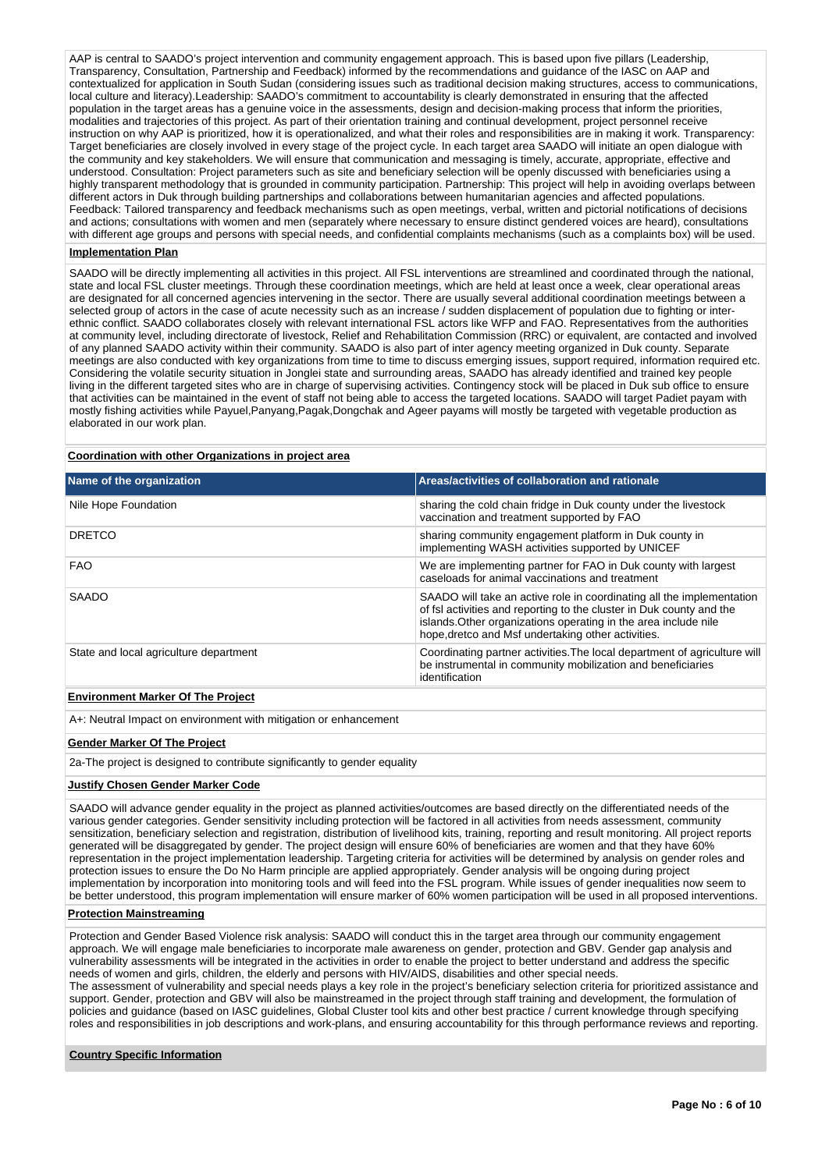AAP is central to SAADO's project intervention and community engagement approach. This is based upon five pillars (Leadership, Transparency, Consultation, Partnership and Feedback) informed by the recommendations and guidance of the IASC on AAP and contextualized for application in South Sudan (considering issues such as traditional decision making structures, access to communications, local culture and literacy).Leadership: SAADO's commitment to accountability is clearly demonstrated in ensuring that the affected population in the target areas has a genuine voice in the assessments, design and decision-making process that inform the priorities, modalities and trajectories of this project. As part of their orientation training and continual development, project personnel receive instruction on why AAP is prioritized, how it is operationalized, and what their roles and responsibilities are in making it work. Transparency: Target beneficiaries are closely involved in every stage of the project cycle. In each target area SAADO will initiate an open dialogue with the community and key stakeholders. We will ensure that communication and messaging is timely, accurate, appropriate, effective and understood. Consultation: Project parameters such as site and beneficiary selection will be openly discussed with beneficiaries using a highly transparent methodology that is grounded in community participation. Partnership: This project will help in avoiding overlaps between different actors in Duk through building partnerships and collaborations between humanitarian agencies and affected populations. Feedback: Tailored transparency and feedback mechanisms such as open meetings, verbal, written and pictorial notifications of decisions and actions; consultations with women and men (separately where necessary to ensure distinct gendered voices are heard), consultations with different age groups and persons with special needs, and confidential complaints mechanisms (such as a complaints box) will be used.

#### **Implementation Plan**

SAADO will be directly implementing all activities in this project. All FSL interventions are streamlined and coordinated through the national, state and local FSL cluster meetings. Through these coordination meetings, which are held at least once a week, clear operational areas are designated for all concerned agencies intervening in the sector. There are usually several additional coordination meetings between a selected group of actors in the case of acute necessity such as an increase / sudden displacement of population due to fighting or interethnic conflict. SAADO collaborates closely with relevant international FSL actors like WFP and FAO. Representatives from the authorities at community level, including directorate of livestock, Relief and Rehabilitation Commission (RRC) or equivalent, are contacted and involved of any planned SAADO activity within their community. SAADO is also part of inter agency meeting organized in Duk county. Separate meetings are also conducted with key organizations from time to time to discuss emerging issues, support required, information required etc. Considering the volatile security situation in Jonglei state and surrounding areas, SAADO has already identified and trained key people living in the different targeted sites who are in charge of supervising activities. Contingency stock will be placed in Duk sub office to ensure that activities can be maintained in the event of staff not being able to access the targeted locations. SAADO will target Padiet payam with mostly fishing activities while Payuel,Panyang,Pagak,Dongchak and Ageer payams will mostly be targeted with vegetable production as elaborated in our work plan.

## **Coordination with other Organizations in project area**

| Name of the organization                 | Areas/activities of collaboration and rationale                                                                                                                                                                                                                        |
|------------------------------------------|------------------------------------------------------------------------------------------------------------------------------------------------------------------------------------------------------------------------------------------------------------------------|
| Nile Hope Foundation                     | sharing the cold chain fridge in Duk county under the livestock<br>vaccination and treatment supported by FAO                                                                                                                                                          |
| <b>DRETCO</b>                            | sharing community engagement platform in Duk county in<br>implementing WASH activities supported by UNICEF                                                                                                                                                             |
| <b>FAO</b>                               | We are implementing partner for FAO in Duk county with largest<br>caseloads for animal vaccinations and treatment                                                                                                                                                      |
| <b>SAADO</b>                             | SAADO will take an active role in coordinating all the implementation<br>of fsl activities and reporting to the cluster in Duk county and the<br>islands. Other organizations operating in the area include nile<br>hope, dretco and Msf undertaking other activities. |
| State and local agriculture department   | Coordinating partner activities. The local department of agriculture will<br>be instrumental in community mobilization and beneficiaries<br>identification                                                                                                             |
| <b>Environment Marker Of The Project</b> |                                                                                                                                                                                                                                                                        |

A+: Neutral Impact on environment with mitigation or enhancement

#### **Gender Marker Of The Project**

2a-The project is designed to contribute significantly to gender equality

#### **Justify Chosen Gender Marker Code**

SAADO will advance gender equality in the project as planned activities/outcomes are based directly on the differentiated needs of the various gender categories. Gender sensitivity including protection will be factored in all activities from needs assessment, community sensitization, beneficiary selection and registration, distribution of livelihood kits, training, reporting and result monitoring. All project reports generated will be disaggregated by gender. The project design will ensure 60% of beneficiaries are women and that they have 60% representation in the project implementation leadership. Targeting criteria for activities will be determined by analysis on gender roles and protection issues to ensure the Do No Harm principle are applied appropriately. Gender analysis will be ongoing during project implementation by incorporation into monitoring tools and will feed into the FSL program. While issues of gender inequalities now seem to be better understood, this program implementation will ensure marker of 60% women participation will be used in all proposed interventions.

#### **Protection Mainstreaming**

Protection and Gender Based Violence risk analysis: SAADO will conduct this in the target area through our community engagement approach. We will engage male beneficiaries to incorporate male awareness on gender, protection and GBV. Gender gap analysis and vulnerability assessments will be integrated in the activities in order to enable the project to better understand and address the specific needs of women and girls, children, the elderly and persons with HIV/AIDS, disabilities and other special needs. The assessment of vulnerability and special needs plays a key role in the project's beneficiary selection criteria for prioritized assistance and support. Gender, protection and GBV will also be mainstreamed in the project through staff training and development, the formulation of policies and guidance (based on IASC guidelines, Global Cluster tool kits and other best practice / current knowledge through specifying roles and responsibilities in job descriptions and work-plans, and ensuring accountability for this through performance reviews and reporting.

# **Country Specific Information**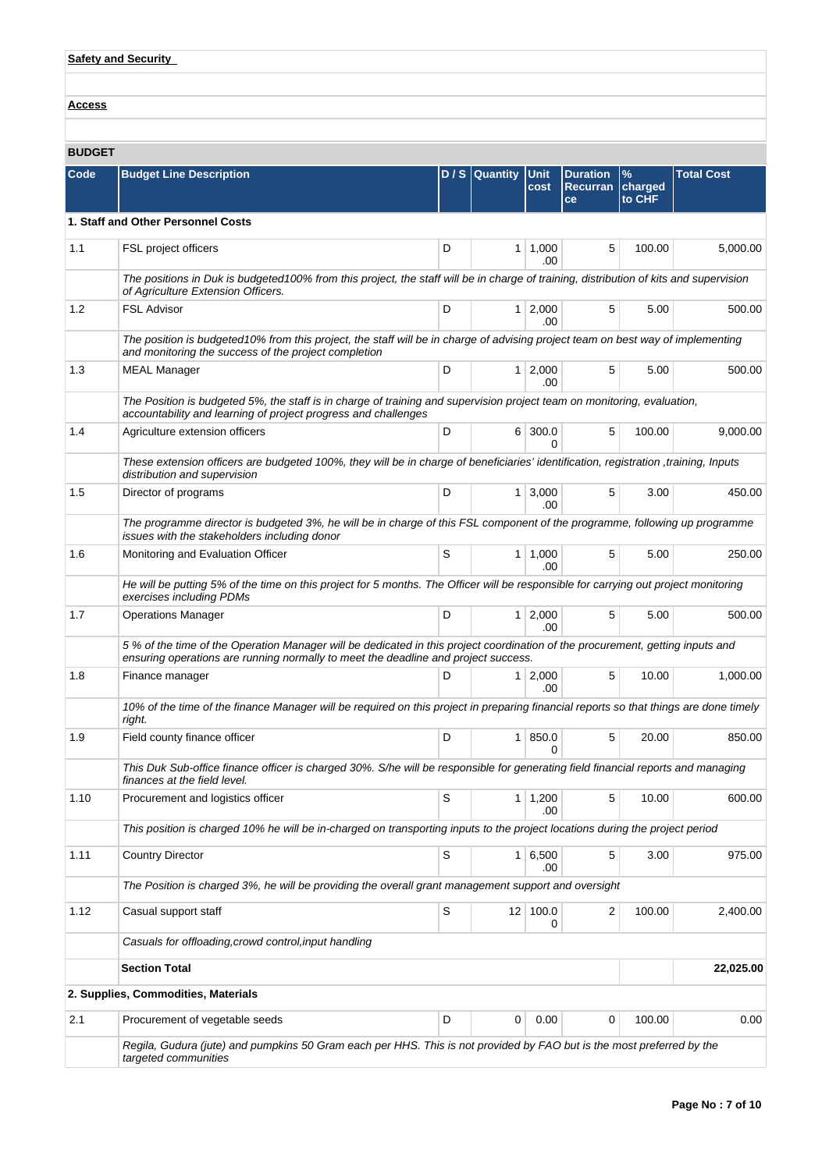|  | Safetv and Securitv |
|--|---------------------|
|  |                     |

**Access**

# **BUDGET**

| Code | <b>Budget Line Description</b>                                                                                                                                                                                       |   | D / S Quantity Unit | cost                   | <b>Duration</b><br><b>Recurran</b><br>ce | $\%$<br>charged<br>to CHF | <b>Total Cost</b> |
|------|----------------------------------------------------------------------------------------------------------------------------------------------------------------------------------------------------------------------|---|---------------------|------------------------|------------------------------------------|---------------------------|-------------------|
|      | 1. Staff and Other Personnel Costs                                                                                                                                                                                   |   |                     |                        |                                          |                           |                   |
| 1.1  | FSL project officers                                                                                                                                                                                                 | D |                     | $1 \mid 1,000$<br>.00  | 5                                        | 100.00                    | 5,000.00          |
|      | The positions in Duk is budgeted100% from this project, the staff will be in charge of training, distribution of kits and supervision<br>of Agriculture Extension Officers.                                          |   |                     |                        |                                          |                           |                   |
| 1.2  | <b>FSL Advisor</b>                                                                                                                                                                                                   | D |                     | $1 \mid 2,000$<br>.00. | 5                                        | 5.00                      | 500.00            |
|      | The position is budgeted10% from this project, the staff will be in charge of advising project team on best way of implementing<br>and monitoring the success of the project completion                              |   |                     |                        |                                          |                           |                   |
| 1.3  | <b>MEAL Manager</b>                                                                                                                                                                                                  | D |                     | $1 \mid 2,000$<br>.00  | 5                                        | 5.00                      | 500.00            |
|      | The Position is budgeted 5%, the staff is in charge of training and supervision project team on monitoring, evaluation,<br>accountability and learning of project progress and challenges                            |   |                     |                        |                                          |                           |                   |
| 1.4  | Agriculture extension officers                                                                                                                                                                                       | D |                     | 6 300.0<br>0           | 5                                        | 100.00                    | 9,000.00          |
|      | These extension officers are budgeted 100%, they will be in charge of beneficiaries' identification, registration, training, Inputs<br>distribution and supervision                                                  |   |                     |                        |                                          |                           |                   |
| 1.5  | Director of programs                                                                                                                                                                                                 | D |                     | $1 \mid 3,000$<br>.00. | 5                                        | 3.00                      | 450.00            |
|      | The programme director is budgeted 3%, he will be in charge of this FSL component of the programme, following up programme<br>issues with the stakeholders including donor                                           |   |                     |                        |                                          |                           |                   |
| 1.6  | Monitoring and Evaluation Officer                                                                                                                                                                                    | S |                     | $1 \mid 1,000$<br>.00  | 5                                        | 5.00                      | 250.00            |
|      | He will be putting 5% of the time on this project for 5 months. The Officer will be responsible for carrying out project monitoring<br>exercises including PDMs                                                      |   |                     |                        |                                          |                           |                   |
| 1.7  | <b>Operations Manager</b>                                                                                                                                                                                            | D |                     | $1 \, 2,000$<br>.00    | 5                                        | 5.00                      | 500.00            |
|      | 5 % of the time of the Operation Manager will be dedicated in this project coordination of the procurement, getting inputs and<br>ensuring operations are running normally to meet the deadline and project success. |   |                     |                        |                                          |                           |                   |
| 1.8  | Finance manager                                                                                                                                                                                                      | D |                     | 1 2,000<br>.00.        | 5                                        | 10.00                     | 1,000.00          |
|      | 10% of the time of the finance Manager will be required on this project in preparing financial reports so that things are done timely<br>right.                                                                      |   |                     |                        |                                          |                           |                   |
| 1.9  | Field county finance officer                                                                                                                                                                                         | D |                     | 1   850.0              | 5                                        | 20.00                     | 850.00            |
|      | This Duk Sub-office finance officer is charged 30%. S/he will be responsible for generating field financial reports and managing<br>finances at the field level.                                                     |   |                     |                        |                                          |                           |                   |
| 1.10 | Procurement and logistics officer                                                                                                                                                                                    | S |                     | $1 \mid 1,200$<br>.00  | 5                                        | 10.00                     | 600.00            |
|      | This position is charged 10% he will be in-charged on transporting inputs to the project locations during the project period                                                                                         |   |                     |                        |                                          |                           |                   |
| 1.11 | <b>Country Director</b>                                                                                                                                                                                              | S |                     | 1 6,500<br>.00         | 5                                        | 3.00                      | 975.00            |
|      | The Position is charged 3%, he will be providing the overall grant management support and oversight                                                                                                                  |   |                     |                        |                                          |                           |                   |
| 1.12 | Casual support staff                                                                                                                                                                                                 | S |                     | 12 100.0<br>0          | 2                                        | 100.00                    | 2,400.00          |
|      | Casuals for offloading, crowd control, input handling                                                                                                                                                                |   |                     |                        |                                          |                           |                   |
|      | <b>Section Total</b>                                                                                                                                                                                                 |   |                     |                        |                                          |                           | 22,025.00         |
|      | 2. Supplies, Commodities, Materials                                                                                                                                                                                  |   |                     |                        |                                          |                           |                   |
| 2.1  | Procurement of vegetable seeds                                                                                                                                                                                       | D | 0                   | 0.00                   | 0                                        | 100.00                    | 0.00              |
|      | Regila, Gudura (jute) and pumpkins 50 Gram each per HHS. This is not provided by FAO but is the most preferred by the<br>targeted communities                                                                        |   |                     |                        |                                          |                           |                   |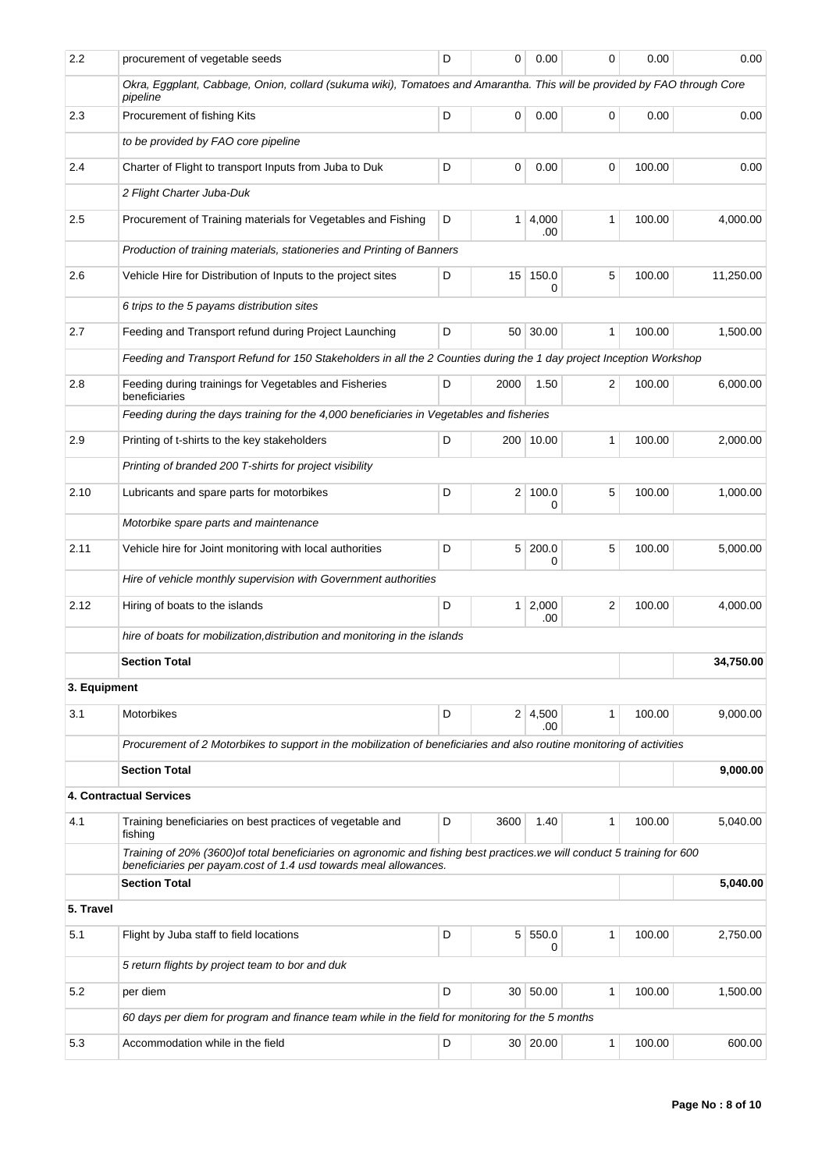| $2.2\,$      | procurement of vegetable seeds                                                                                                                                                               | D | 0               | 0.00                  | 0 | 0.00   | 0.00      |  |
|--------------|----------------------------------------------------------------------------------------------------------------------------------------------------------------------------------------------|---|-----------------|-----------------------|---|--------|-----------|--|
|              | Okra, Eggplant, Cabbage, Onion, collard (sukuma wiki), Tomatoes and Amarantha. This will be provided by FAO through Core<br>pipeline                                                         |   |                 |                       |   |        |           |  |
| 2.3          | Procurement of fishing Kits                                                                                                                                                                  | D | 0               | 0.00                  | 0 | 0.00   | 0.00      |  |
|              | to be provided by FAO core pipeline                                                                                                                                                          |   |                 |                       |   |        |           |  |
| 2.4          | Charter of Flight to transport Inputs from Juba to Duk                                                                                                                                       | D | 0               | 0.00                  | 0 | 100.00 | 0.00      |  |
|              | 2 Flight Charter Juba-Duk                                                                                                                                                                    |   |                 |                       |   |        |           |  |
| 2.5          | Procurement of Training materials for Vegetables and Fishing                                                                                                                                 | D |                 | 1   4,000<br>.00      | 1 | 100.00 | 4.000.00  |  |
|              | Production of training materials, stationeries and Printing of Banners                                                                                                                       |   |                 |                       |   |        |           |  |
| 2.6          | Vehicle Hire for Distribution of Inputs to the project sites                                                                                                                                 | D | 15 <sup>1</sup> | 150.0<br>0            | 5 | 100.00 | 11,250.00 |  |
|              | 6 trips to the 5 payams distribution sites                                                                                                                                                   |   |                 |                       |   |        |           |  |
| 2.7          | Feeding and Transport refund during Project Launching                                                                                                                                        | D |                 | 50 30.00              | 1 | 100.00 | 1,500.00  |  |
|              | Feeding and Transport Refund for 150 Stakeholders in all the 2 Counties during the 1 day project Inception Workshop                                                                          |   |                 |                       |   |        |           |  |
| 2.8          | Feeding during trainings for Vegetables and Fisheries<br>beneficiaries                                                                                                                       | D | 2000            | 1.50                  | 2 | 100.00 | 6,000.00  |  |
|              | Feeding during the days training for the 4,000 beneficiaries in Vegetables and fisheries                                                                                                     |   |                 |                       |   |        |           |  |
| 2.9          | Printing of t-shirts to the key stakeholders                                                                                                                                                 | D |                 | 200 10.00             | 1 | 100.00 | 2,000.00  |  |
|              | Printing of branded 200 T-shirts for project visibility                                                                                                                                      |   |                 |                       |   |        |           |  |
| 2.10         | Lubricants and spare parts for motorbikes                                                                                                                                                    | D | 2 <sup>1</sup>  | 100.0<br>0            | 5 | 100.00 | 1,000.00  |  |
|              | Motorbike spare parts and maintenance                                                                                                                                                        |   |                 |                       |   |        |           |  |
| 2.11         | Vehicle hire for Joint monitoring with local authorities                                                                                                                                     | D |                 | 5 200.0<br>0          | 5 | 100.00 | 5,000.00  |  |
|              | Hire of vehicle monthly supervision with Government authorities                                                                                                                              |   |                 |                       |   |        |           |  |
| 2.12         | Hiring of boats to the islands                                                                                                                                                               | D |                 | 1 2,000<br>.00        | 2 | 100.00 | 4,000.00  |  |
|              | hire of boats for mobilization, distribution and monitoring in the islands                                                                                                                   |   |                 |                       |   |        |           |  |
|              | <b>Section Total</b>                                                                                                                                                                         |   |                 |                       |   |        |           |  |
| 3. Equipment |                                                                                                                                                                                              |   |                 |                       |   |        |           |  |
| 3.1          | Motorbikes                                                                                                                                                                                   | D |                 | $2 \mid 4,500$<br>.00 | 1 | 100.00 | 9,000.00  |  |
|              | Procurement of 2 Motorbikes to support in the mobilization of beneficiaries and also routine monitoring of activities                                                                        |   |                 |                       |   |        |           |  |
|              | <b>Section Total</b>                                                                                                                                                                         |   |                 | 9,000.00              |   |        |           |  |
|              | <b>4. Contractual Services</b>                                                                                                                                                               |   |                 |                       |   |        |           |  |
| 4.1          | Training beneficiaries on best practices of vegetable and<br>fishing                                                                                                                         | D | 3600            | 1.40                  | 1 | 100.00 | 5,040.00  |  |
|              | Training of 20% (3600) of total beneficiaries on agronomic and fishing best practices we will conduct 5 training for 600<br>beneficiaries per payam.cost of 1.4 usd towards meal allowances. |   |                 |                       |   |        |           |  |
|              | <b>Section Total</b>                                                                                                                                                                         |   |                 |                       |   |        | 5,040.00  |  |
| 5. Travel    |                                                                                                                                                                                              |   |                 |                       |   |        |           |  |
| 5.1          | Flight by Juba staff to field locations                                                                                                                                                      | D |                 | 5 550.0<br>0          | 1 | 100.00 | 2,750.00  |  |
|              | 5 return flights by project team to bor and duk                                                                                                                                              |   |                 |                       |   |        |           |  |
| 5.2          | per diem                                                                                                                                                                                     | D |                 | 30 50.00              | 1 | 100.00 | 1,500.00  |  |
|              | 60 days per diem for program and finance team while in the field for monitoring for the 5 months                                                                                             |   |                 |                       |   |        |           |  |
| 5.3          | Accommodation while in the field                                                                                                                                                             | D |                 | 30 20.00              | 1 | 100.00 | 600.00    |  |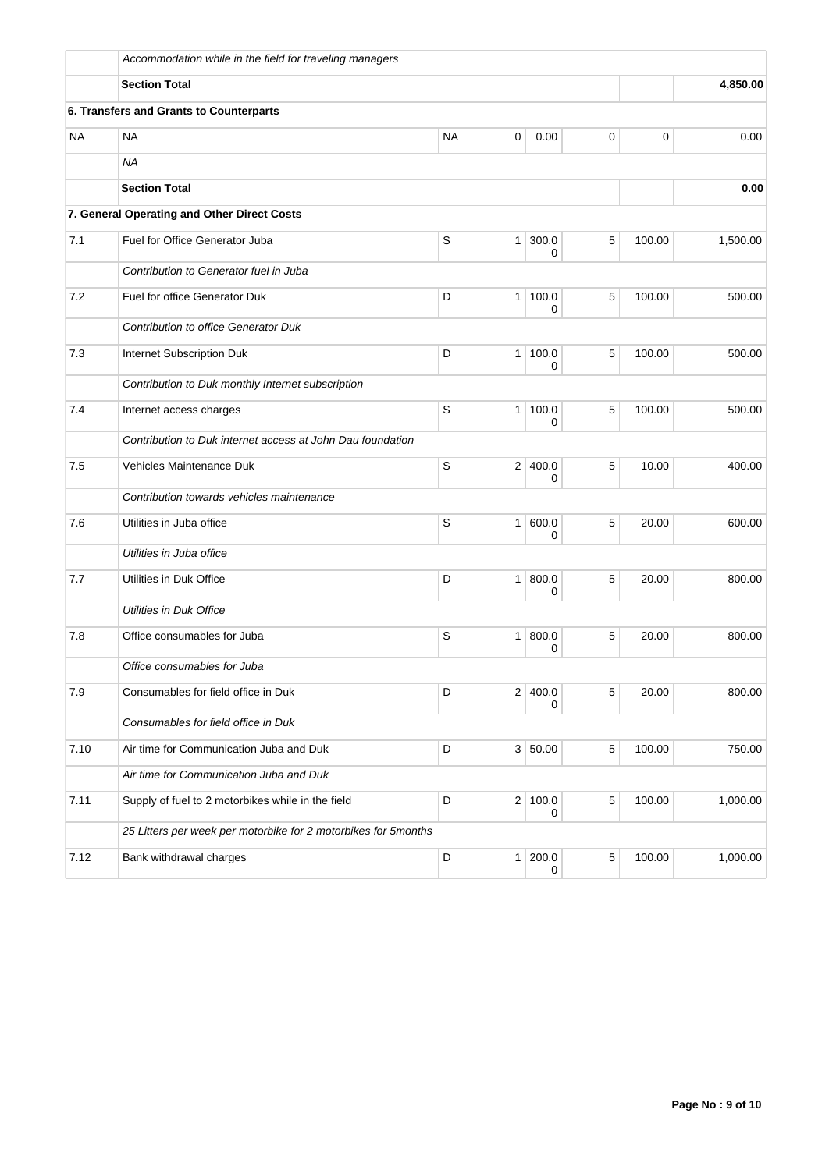|           | Accommodation while in the field for traveling managers        |             |                |              |   |          |          |  |  |
|-----------|----------------------------------------------------------------|-------------|----------------|--------------|---|----------|----------|--|--|
|           | <b>Section Total</b>                                           |             |                |              |   |          | 4,850.00 |  |  |
|           | 6. Transfers and Grants to Counterparts                        |             |                |              |   |          |          |  |  |
| <b>NA</b> | <b>NA</b>                                                      | <b>NA</b>   | 0              | 0.00         | 0 | $\Omega$ | 0.00     |  |  |
|           | <b>NA</b>                                                      |             |                |              |   |          |          |  |  |
|           | <b>Section Total</b>                                           |             |                |              |   |          | 0.00     |  |  |
|           | 7. General Operating and Other Direct Costs                    |             |                |              |   |          |          |  |  |
| 7.1       | Fuel for Office Generator Juba                                 | S           | 1              | 300.0<br>0   | 5 | 100.00   | 1,500.00 |  |  |
|           | Contribution to Generator fuel in Juba                         |             |                |              |   |          |          |  |  |
| 7.2       | Fuel for office Generator Duk                                  | D           | 1 <sup>1</sup> | 100.0<br>0   | 5 | 100.00   | 500.00   |  |  |
|           | <b>Contribution to office Generator Duk</b>                    |             |                |              |   |          |          |  |  |
| 7.3       | Internet Subscription Duk                                      | D           | 1 <sup>1</sup> | 100.0<br>0   | 5 | 100.00   | 500.00   |  |  |
|           | Contribution to Duk monthly Internet subscription              |             |                |              |   |          |          |  |  |
| 7.4       | Internet access charges                                        | S           | 1 <sup>1</sup> | 100.0<br>0   | 5 | 100.00   | 500.00   |  |  |
|           | Contribution to Duk internet access at John Dau foundation     |             |                |              |   |          |          |  |  |
| 7.5       | Vehicles Maintenance Duk                                       | $\mathbf S$ |                | 2 400.0<br>0 | 5 | 10.00    | 400.00   |  |  |
|           | Contribution towards vehicles maintenance                      |             |                |              |   |          |          |  |  |
| 7.6       | Utilities in Juba office                                       | S           | 1 <sup>1</sup> | 600.0<br>0   | 5 | 20.00    | 600.00   |  |  |
|           | Utilities in Juba office                                       |             |                |              |   |          |          |  |  |
| 7.7       | Utilities in Duk Office                                        | D           | 1 <sup>1</sup> | 800.0<br>0   | 5 | 20.00    | 800.00   |  |  |
|           | <b>Utilities in Duk Office</b>                                 |             |                |              |   |          |          |  |  |
| 7.8       | Office consumables for Juba                                    | S           | 1 <sup>1</sup> | 800.0<br>0   | 5 | 20.00    | 800.00   |  |  |
|           | Office consumables for Juba                                    |             |                |              |   |          |          |  |  |
| 7.9       | Consumables for field office in Duk                            | D           |                | 2 400.0<br>0 | 5 | 20.00    | 800.00   |  |  |
|           | Consumables for field office in Duk                            |             |                |              |   |          |          |  |  |
| 7.10      | Air time for Communication Juba and Duk                        | D           |                | 3   50.00    | 5 | 100.00   | 750.00   |  |  |
|           | Air time for Communication Juba and Duk                        |             |                |              |   |          |          |  |  |
| 7.11      | Supply of fuel to 2 motorbikes while in the field              | D           |                | 2 100.0<br>0 | 5 | 100.00   | 1,000.00 |  |  |
|           | 25 Litters per week per motorbike for 2 motorbikes for 5months |             |                |              |   |          |          |  |  |
| 7.12      | Bank withdrawal charges                                        | D           | 1 <sup>1</sup> | 200.0<br>0   | 5 | 100.00   | 1,000.00 |  |  |